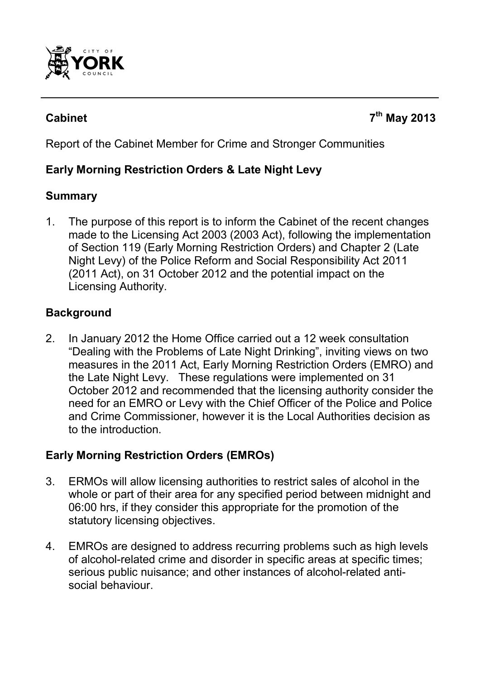

# **Cabinet 7th May 2013**

Report of the Cabinet Member for Crime and Stronger Communities

# **Early Morning Restriction Orders & Late Night Levy**

#### **Summary**

1. The purpose of this report is to inform the Cabinet of the recent changes made to the Licensing Act 2003 (2003 Act), following the implementation of Section 119 (Early Morning Restriction Orders) and Chapter 2 (Late Night Levy) of the Police Reform and Social Responsibility Act 2011 (2011 Act), on 31 October 2012 and the potential impact on the Licensing Authority.

## **Background**

2. In January 2012 the Home Office carried out a 12 week consultation "Dealing with the Problems of Late Night Drinking", inviting views on two measures in the 2011 Act, Early Morning Restriction Orders (EMRO) and the Late Night Levy. These regulations were implemented on 31 October 2012 and recommended that the licensing authority consider the need for an EMRO or Levy with the Chief Officer of the Police and Police and Crime Commissioner, however it is the Local Authorities decision as to the introduction.

## **Early Morning Restriction Orders (EMROs)**

- 3. ERMOs will allow licensing authorities to restrict sales of alcohol in the whole or part of their area for any specified period between midnight and 06:00 hrs, if they consider this appropriate for the promotion of the statutory licensing objectives.
- 4. EMROs are designed to address recurring problems such as high levels of alcohol-related crime and disorder in specific areas at specific times; serious public nuisance; and other instances of alcohol-related antisocial behaviour.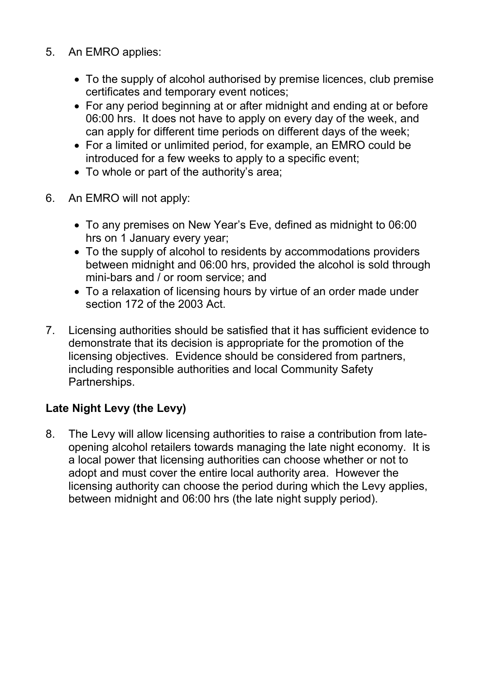- 5. An EMRO applies:
	- To the supply of alcohol authorised by premise licences, club premise certificates and temporary event notices;
	- For any period beginning at or after midnight and ending at or before 06:00 hrs. It does not have to apply on every day of the week, and can apply for different time periods on different days of the week;
	- For a limited or unlimited period, for example, an EMRO could be introduced for a few weeks to apply to a specific event;
	- To whole or part of the authority's area;
- 6. An EMRO will not apply:
	- To any premises on New Year's Eve, defined as midnight to 06:00 hrs on 1 January every year;
	- To the supply of alcohol to residents by accommodations providers between midnight and 06:00 hrs, provided the alcohol is sold through mini-bars and / or room service; and
	- To a relaxation of licensing hours by virtue of an order made under section 172 of the 2003 Act.
- 7. Licensing authorities should be satisfied that it has sufficient evidence to demonstrate that its decision is appropriate for the promotion of the licensing objectives. Evidence should be considered from partners, including responsible authorities and local Community Safety Partnerships.

# **Late Night Levy (the Levy)**

8. The Levy will allow licensing authorities to raise a contribution from lateopening alcohol retailers towards managing the late night economy. It is a local power that licensing authorities can choose whether or not to adopt and must cover the entire local authority area. However the licensing authority can choose the period during which the Levy applies, between midnight and 06:00 hrs (the late night supply period).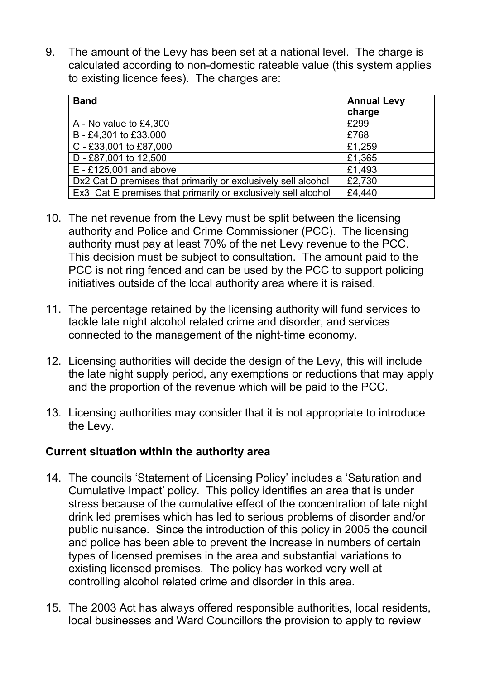9. The amount of the Levy has been set at a national level. The charge is calculated according to non-domestic rateable value (this system applies to existing licence fees). The charges are:

| <b>Band</b>                                                   | <b>Annual Levy</b><br>charge |
|---------------------------------------------------------------|------------------------------|
| A - No value to £4,300                                        | £299                         |
| B - £4,301 to £33,000                                         | £768                         |
| C - £33,001 to £87,000                                        | £1,259                       |
| D - £87,001 to 12,500                                         | £1,365                       |
| $E - £125,001$ and above                                      | £1,493                       |
| Dx2 Cat D premises that primarily or exclusively sell alcohol | £2,730                       |
| Ex3 Cat E premises that primarily or exclusively sell alcohol | £4,440                       |

- 10. The net revenue from the Levy must be split between the licensing authority and Police and Crime Commissioner (PCC). The licensing authority must pay at least 70% of the net Levy revenue to the PCC. This decision must be subject to consultation. The amount paid to the PCC is not ring fenced and can be used by the PCC to support policing initiatives outside of the local authority area where it is raised.
- 11. The percentage retained by the licensing authority will fund services to tackle late night alcohol related crime and disorder, and services connected to the management of the night-time economy.
- 12. Licensing authorities will decide the design of the Levy, this will include the late night supply period, any exemptions or reductions that may apply and the proportion of the revenue which will be paid to the PCC.
- 13. Licensing authorities may consider that it is not appropriate to introduce the Levy.

## **Current situation within the authority area**

- 14. The councils 'Statement of Licensing Policy' includes a 'Saturation and Cumulative Impact' policy. This policy identifies an area that is under stress because of the cumulative effect of the concentration of late night drink led premises which has led to serious problems of disorder and/or public nuisance. Since the introduction of this policy in 2005 the council and police has been able to prevent the increase in numbers of certain types of licensed premises in the area and substantial variations to existing licensed premises. The policy has worked very well at controlling alcohol related crime and disorder in this area.
- 15. The 2003 Act has always offered responsible authorities, local residents, local businesses and Ward Councillors the provision to apply to review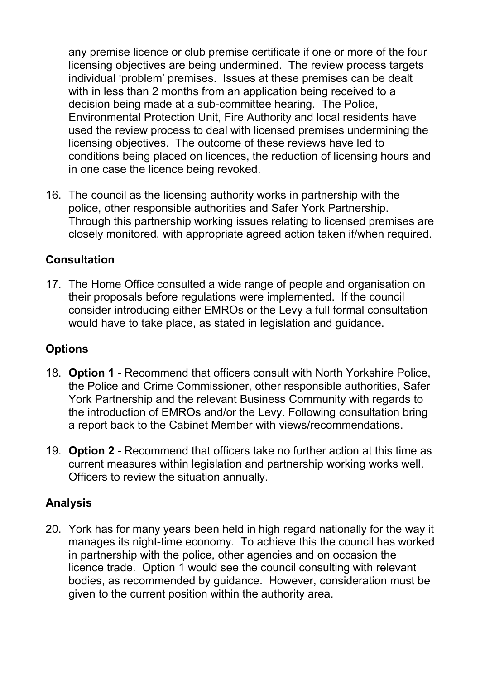any premise licence or club premise certificate if one or more of the four licensing objectives are being undermined. The review process targets individual 'problem' premises. Issues at these premises can be dealt with in less than 2 months from an application being received to a decision being made at a sub-committee hearing. The Police, Environmental Protection Unit, Fire Authority and local residents have used the review process to deal with licensed premises undermining the licensing objectives. The outcome of these reviews have led to conditions being placed on licences, the reduction of licensing hours and in one case the licence being revoked.

16. The council as the licensing authority works in partnership with the police, other responsible authorities and Safer York Partnership. Through this partnership working issues relating to licensed premises are closely monitored, with appropriate agreed action taken if/when required.

#### **Consultation**

17. The Home Office consulted a wide range of people and organisation on their proposals before regulations were implemented. If the council consider introducing either EMROs or the Levy a full formal consultation would have to take place, as stated in legislation and guidance.

## **Options**

- 18. **Option 1** Recommend that officers consult with North Yorkshire Police, the Police and Crime Commissioner, other responsible authorities, Safer York Partnership and the relevant Business Community with regards to the introduction of EMROs and/or the Levy. Following consultation bring a report back to the Cabinet Member with views/recommendations.
- 19. **Option 2** Recommend that officers take no further action at this time as current measures within legislation and partnership working works well. Officers to review the situation annually.

#### **Analysis**

20. York has for many years been held in high regard nationally for the way it manages its night-time economy. To achieve this the council has worked in partnership with the police, other agencies and on occasion the licence trade. Option 1 would see the council consulting with relevant bodies, as recommended by guidance. However, consideration must be given to the current position within the authority area.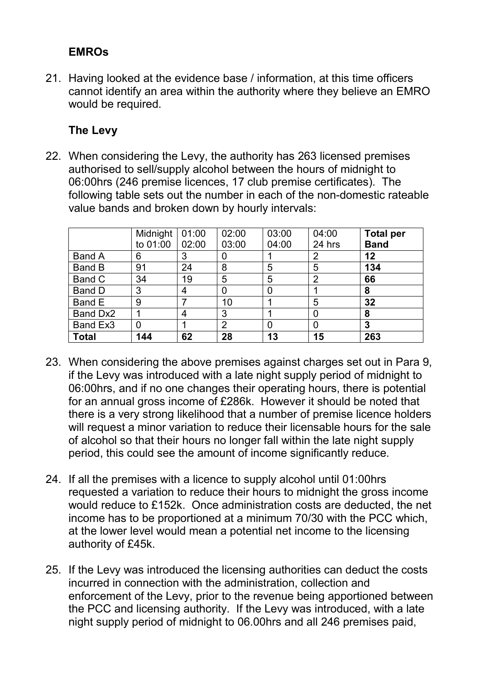# **EMROs**

21. Having looked at the evidence base / information, at this time officers cannot identify an area within the authority where they believe an EMRO would be required.

## **The Levy**

22. When considering the Levy, the authority has 263 licensed premises authorised to sell/supply alcohol between the hours of midnight to 06:00hrs (246 premise licences, 17 club premise certificates). The following table sets out the number in each of the non-domestic rateable value bands and broken down by hourly intervals:

|               | Midnight       | 01:00 | 02:00          | 03:00          | 04:00          | <b>Total per</b> |
|---------------|----------------|-------|----------------|----------------|----------------|------------------|
|               | to 01:00       | 02:00 | 03:00          | 04:00          | 24 hrs         | <b>Band</b>      |
| <b>Band A</b> | 6              | 3     | 0              |                | 2              | 12               |
| <b>Band B</b> | 91             | 24    | 8              | 5              | 5              | 134              |
| Band C        | 34             | 19    | 5              | 5              | $\overline{2}$ | 66               |
| Band D        | 3              | 4     | 0              | $\overline{0}$ |                | 8                |
| Band E        | 9              |       | 10             |                | 5              | 32               |
| Band Dx2      |                | 4     | 3              |                | 0              | 8                |
| Band Ex3      | $\overline{0}$ |       | $\overline{2}$ | 0              | 0              | 3                |
| <b>Total</b>  | 144            | 62    | 28             | 13             | 15             | 263              |

- 23. When considering the above premises against charges set out in Para 9, if the Levy was introduced with a late night supply period of midnight to 06:00hrs, and if no one changes their operating hours, there is potential for an annual gross income of £286k. However it should be noted that there is a very strong likelihood that a number of premise licence holders will request a minor variation to reduce their licensable hours for the sale of alcohol so that their hours no longer fall within the late night supply period, this could see the amount of income significantly reduce.
- 24. If all the premises with a licence to supply alcohol until 01:00hrs requested a variation to reduce their hours to midnight the gross income would reduce to £152k. Once administration costs are deducted, the net income has to be proportioned at a minimum 70/30 with the PCC which, at the lower level would mean a potential net income to the licensing authority of £45k.
- 25. If the Levy was introduced the licensing authorities can deduct the costs incurred in connection with the administration, collection and enforcement of the Levy, prior to the revenue being apportioned between the PCC and licensing authority. If the Levy was introduced, with a late night supply period of midnight to 06.00hrs and all 246 premises paid,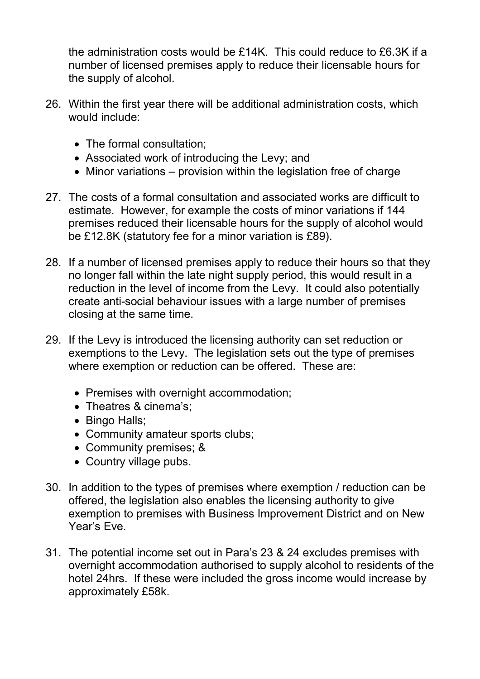the administration costs would be £14K. This could reduce to £6.3K if a number of licensed premises apply to reduce their licensable hours for the supply of alcohol.

- 26. Within the first year there will be additional administration costs, which would include:
	- The formal consultation;
	- Associated work of introducing the Levy; and
	- Minor variations provision within the legislation free of charge
- 27. The costs of a formal consultation and associated works are difficult to estimate. However, for example the costs of minor variations if 144 premises reduced their licensable hours for the supply of alcohol would be £12.8K (statutory fee for a minor variation is £89).
- 28. If a number of licensed premises apply to reduce their hours so that they no longer fall within the late night supply period, this would result in a reduction in the level of income from the Levy. It could also potentially create anti-social behaviour issues with a large number of premises closing at the same time.
- 29. If the Levy is introduced the licensing authority can set reduction or exemptions to the Levy. The legislation sets out the type of premises where exemption or reduction can be offered. These are:
	- Premises with overnight accommodation;
	- Theatres & cinema's;
	- Bingo Halls;
	- Community amateur sports clubs;
	- Community premises; &
	- Country village pubs.
- 30. In addition to the types of premises where exemption / reduction can be offered, the legislation also enables the licensing authority to give exemption to premises with Business Improvement District and on New Year's Eve.
- 31. The potential income set out in Para's 23 & 24 excludes premises with overnight accommodation authorised to supply alcohol to residents of the hotel 24hrs. If these were included the gross income would increase by approximately £58k.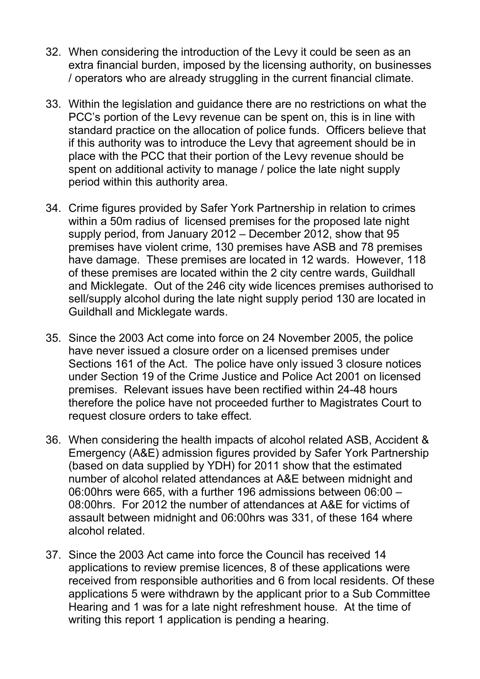- 32. When considering the introduction of the Levy it could be seen as an extra financial burden, imposed by the licensing authority, on businesses / operators who are already struggling in the current financial climate.
- 33. Within the legislation and guidance there are no restrictions on what the PCC's portion of the Levy revenue can be spent on, this is in line with standard practice on the allocation of police funds. Officers believe that if this authority was to introduce the Levy that agreement should be in place with the PCC that their portion of the Levy revenue should be spent on additional activity to manage / police the late night supply period within this authority area.
- 34. Crime figures provided by Safer York Partnership in relation to crimes within a 50m radius of licensed premises for the proposed late night supply period, from January 2012 – December 2012, show that 95 premises have violent crime, 130 premises have ASB and 78 premises have damage. These premises are located in 12 wards. However, 118 of these premises are located within the 2 city centre wards, Guildhall and Micklegate. Out of the 246 city wide licences premises authorised to sell/supply alcohol during the late night supply period 130 are located in Guildhall and Micklegate wards.
- 35. Since the 2003 Act come into force on 24 November 2005, the police have never issued a closure order on a licensed premises under Sections 161 of the Act. The police have only issued 3 closure notices under Section 19 of the Crime Justice and Police Act 2001 on licensed premises. Relevant issues have been rectified within 24-48 hours therefore the police have not proceeded further to Magistrates Court to request closure orders to take effect.
- 36. When considering the health impacts of alcohol related ASB, Accident & Emergency (A&E) admission figures provided by Safer York Partnership (based on data supplied by YDH) for 2011 show that the estimated number of alcohol related attendances at A&E between midnight and 06:00hrs were 665, with a further 196 admissions between 06:00 – 08:00hrs. For 2012 the number of attendances at A&E for victims of assault between midnight and 06:00hrs was 331, of these 164 where alcohol related.
- 37. Since the 2003 Act came into force the Council has received 14 applications to review premise licences, 8 of these applications were received from responsible authorities and 6 from local residents. Of these applications 5 were withdrawn by the applicant prior to a Sub Committee Hearing and 1 was for a late night refreshment house. At the time of writing this report 1 application is pending a hearing.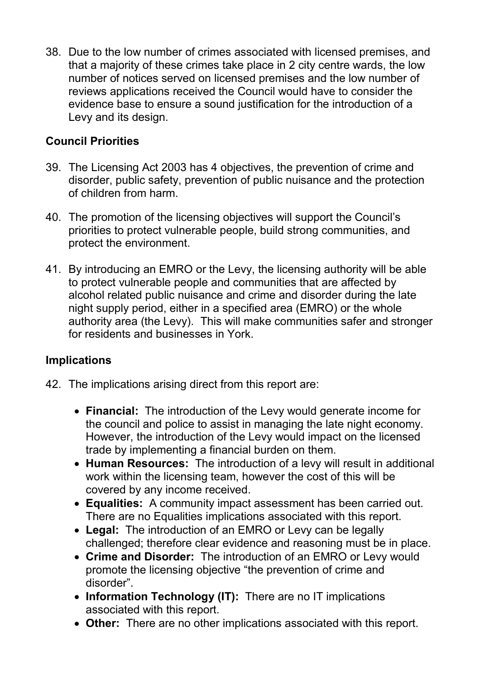38. Due to the low number of crimes associated with licensed premises, and that a majority of these crimes take place in 2 city centre wards, the low number of notices served on licensed premises and the low number of reviews applications received the Council would have to consider the evidence base to ensure a sound justification for the introduction of a Levy and its design.

# **Council Priorities**

- 39. The Licensing Act 2003 has 4 objectives, the prevention of crime and disorder, public safety, prevention of public nuisance and the protection of children from harm.
- 40. The promotion of the licensing objectives will support the Council's priorities to protect vulnerable people, build strong communities, and protect the environment.
- 41. By introducing an EMRO or the Levy, the licensing authority will be able to protect vulnerable people and communities that are affected by alcohol related public nuisance and crime and disorder during the late night supply period, either in a specified area (EMRO) or the whole authority area (the Levy). This will make communities safer and stronger for residents and businesses in York.

## **Implications**

- 42. The implications arising direct from this report are:
	- **Financial:** The introduction of the Levy would generate income for the council and police to assist in managing the late night economy. However, the introduction of the Levy would impact on the licensed trade by implementing a financial burden on them.
	- **Human Resources:** The introduction of a levy will result in additional work within the licensing team, however the cost of this will be covered by any income received.
	- **Equalities:** A community impact assessment has been carried out. There are no Equalities implications associated with this report.
	- **Legal:** The introduction of an EMRO or Levy can be legally challenged; therefore clear evidence and reasoning must be in place.
	- **Crime and Disorder:** The introduction of an EMRO or Levy would promote the licensing objective "the prevention of crime and disorder".
	- **Information Technology (IT):** There are no IT implications associated with this report.
	- **Other:**There are no other implications associated with this report.